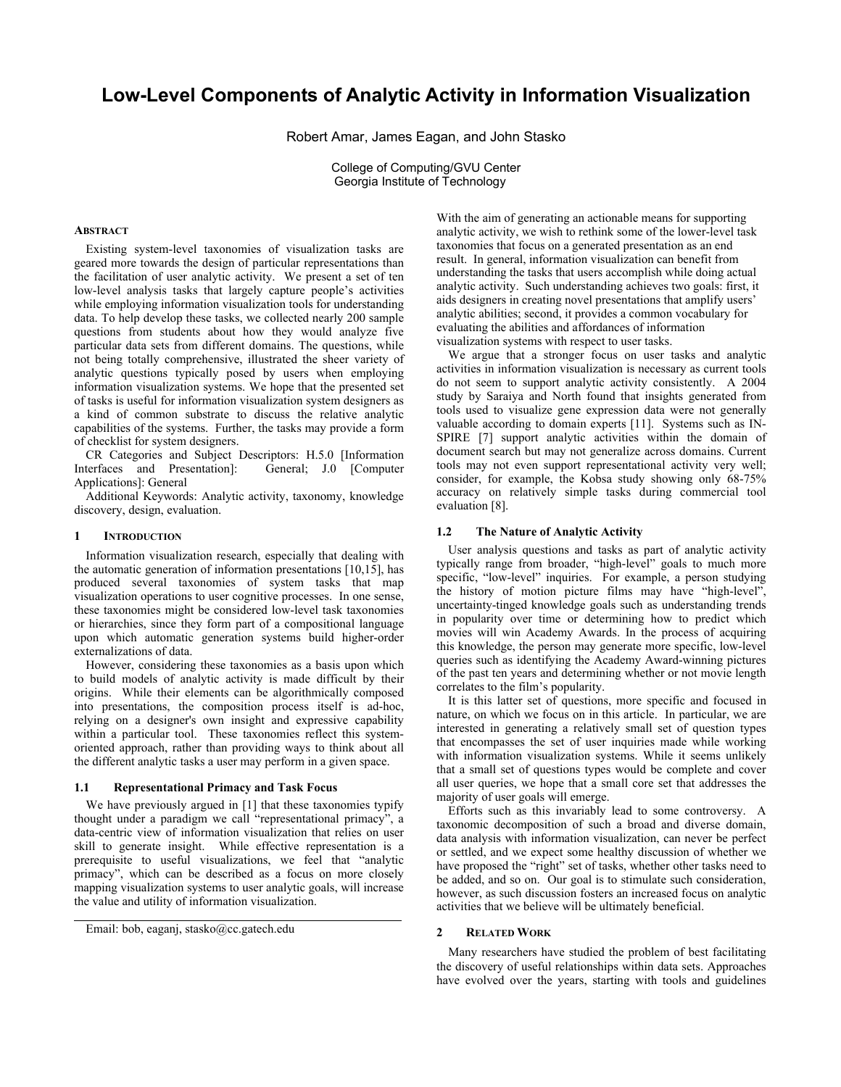# **Low-Level Components of Analytic Activity in Information Visualization**

Robert Amar, James Eagan, and John Stasko

College of Computing/GVU Center Georgia Institute of Technology

#### **ABSTRACT**

Existing system-level taxonomies of visualization tasks are geared more towards the design of particular representations than the facilitation of user analytic activity. We present a set of ten low-level analysis tasks that largely capture people's activities while employing information visualization tools for understanding data. To help develop these tasks, we collected nearly 200 sample questions from students about how they would analyze five particular data sets from different domains. The questions, while not being totally comprehensive, illustrated the sheer variety of analytic questions typically posed by users when employing information visualization systems. We hope that the presented set of tasks is useful for information visualization system designers as a kind of common substrate to discuss the relative analytic capabilities of the systems. Further, the tasks may provide a form of checklist for system designers.

CR Categories and Subject Descriptors: H.5.0 [Information Interfaces and Presentation]: Applications]: General

Additional Keywords: Analytic activity, taxonomy, knowledge discovery, design, evaluation.

# **1 INTRODUCTION**

Information visualization research, especially that dealing with the automatic generation of information presentations [10,15], has produced several taxonomies of system tasks that map visualization operations to user cognitive processes. In one sense, these taxonomies might be considered low-level task taxonomies or hierarchies, since they form part of a compositional language upon which automatic generation systems build higher-order externalizations of data.

However, considering these taxonomies as a basis upon which to build models of analytic activity is made difficult by their origins. While their elements can be algorithmically composed into presentations, the composition process itself is ad-hoc, relying on a designer's own insight and expressive capability within a particular tool. These taxonomies reflect this systemoriented approach, rather than providing ways to think about all the different analytic tasks a user may perform in a given space.

### **1.1 Representational Primacy and Task Focus**

We have previously argued in [1] that these taxonomies typify thought under a paradigm we call "representational primacy", a data-centric view of information visualization that relies on user skill to generate insight. While effective representation is a prerequisite to useful visualizations, we feel that "analytic primacy", which can be described as a focus on more closely mapping visualization systems to user analytic goals, will increase the value and utility of information visualization.

Email: bob, eaganj, stasko@cc.gatech.edu

With the aim of generating an actionable means for supporting analytic activity, we wish to rethink some of the lower-level task taxonomies that focus on a generated presentation as an end result. In general, information visualization can benefit from understanding the tasks that users accomplish while doing actual analytic activity. Such understanding achieves two goals: first, it aids designers in creating novel presentations that amplify users' analytic abilities; second, it provides a common vocabulary for evaluating the abilities and affordances of information visualization systems with respect to user tasks.

We argue that a stronger focus on user tasks and analytic activities in information visualization is necessary as current tools do not seem to support analytic activity consistently. A 2004 study by Saraiya and North found that insights generated from tools used to visualize gene expression data were not generally valuable according to domain experts [11]. Systems such as IN-SPIRE [7] support analytic activities within the domain of document search but may not generalize across domains. Current tools may not even support representational activity very well; consider, for example, the Kobsa study showing only 68-75% accuracy on relatively simple tasks during commercial tool evaluation [8].

### **1.2 The Nature of Analytic Activity**

User analysis questions and tasks as part of analytic activity typically range from broader, "high-level" goals to much more specific, "low-level" inquiries. For example, a person studying the history of motion picture films may have "high-level", uncertainty-tinged knowledge goals such as understanding trends in popularity over time or determining how to predict which movies will win Academy Awards. In the process of acquiring this knowledge, the person may generate more specific, low-level queries such as identifying the Academy Award-winning pictures of the past ten years and determining whether or not movie length correlates to the film's popularity.

It is this latter set of questions, more specific and focused in nature, on which we focus on in this article. In particular, we are interested in generating a relatively small set of question types that encompasses the set of user inquiries made while working with information visualization systems. While it seems unlikely that a small set of questions types would be complete and cover all user queries, we hope that a small core set that addresses the majority of user goals will emerge.

Efforts such as this invariably lead to some controversy. A taxonomic decomposition of such a broad and diverse domain, data analysis with information visualization, can never be perfect or settled, and we expect some healthy discussion of whether we have proposed the "right" set of tasks, whether other tasks need to be added, and so on. Our goal is to stimulate such consideration, however, as such discussion fosters an increased focus on analytic activities that we believe will be ultimately beneficial.

### **2 RELATED WORK**

Many researchers have studied the problem of best facilitating the discovery of useful relationships within data sets. Approaches have evolved over the years, starting with tools and guidelines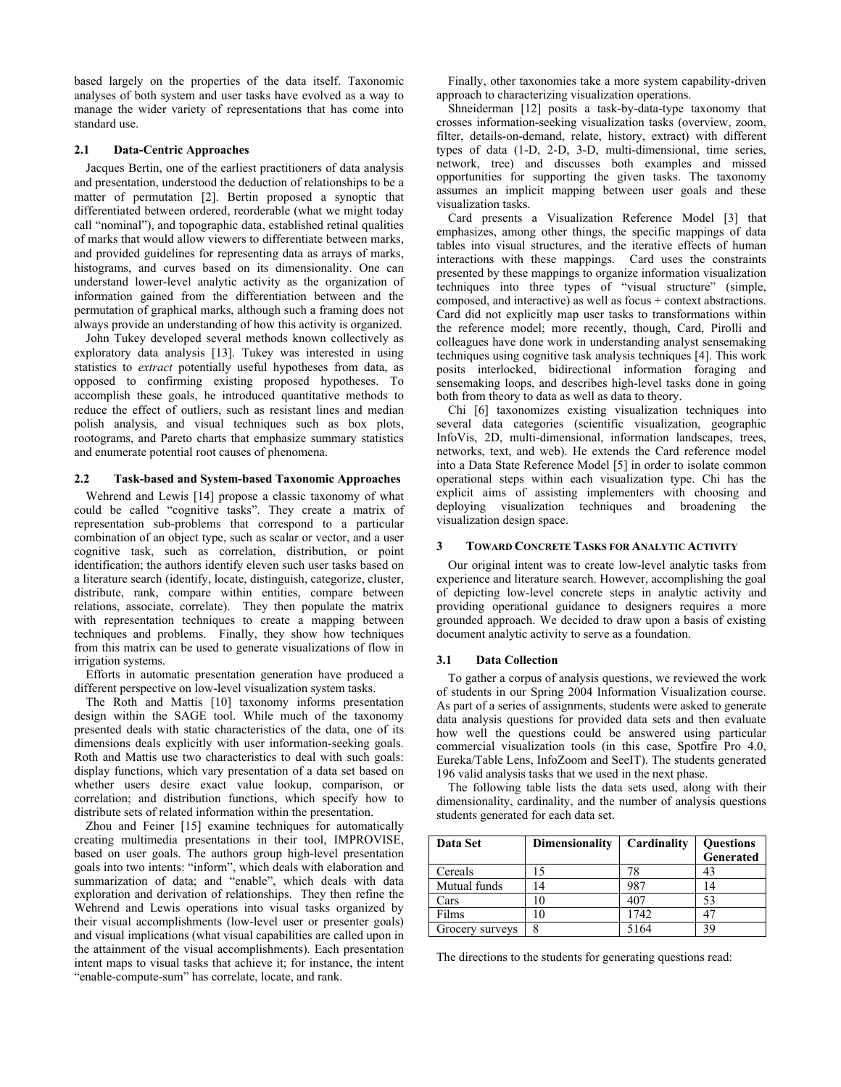based largely on the properties of the data itself. Taxonomic analyses of both system and user tasks have evolved as a way to manage the wider variety of representations that has come into standard use.

### **2.1 Data-Centric Approaches**

Jacques Bertin, one of the earliest practitioners of data analysis and presentation, understood the deduction of relationships to be a matter of permutation [2]. Bertin proposed a synoptic that differentiated between ordered, reorderable (what we might today call "nominal"), and topographic data, established retinal qualities of marks that would allow viewers to differentiate between marks, and provided guidelines for representing data as arrays of marks, histograms, and curves based on its dimensionality. One can understand lower-level analytic activity as the organization of information gained from the differentiation between and the permutation of graphical marks, although such a framing does not always provide an understanding of how this activity is organized.

John Tukey developed several methods known collectively as exploratory data analysis [13]. Tukey was interested in using statistics to *extract* potentially useful hypotheses from data, as opposed to confirming existing proposed hypotheses. To accomplish these goals, he introduced quantitative methods to reduce the effect of outliers, such as resistant lines and median polish analysis, and visual techniques such as box plots, rootograms, and Pareto charts that emphasize summary statistics and enumerate potential root causes of phenomena.

# **2.2 Task-based and System-based Taxonomic Approaches**

Wehrend and Lewis [14] propose a classic taxonomy of what could be called "cognitive tasks". They create a matrix of representation sub-problems that correspond to a particular combination of an object type, such as scalar or vector, and a user cognitive task, such as correlation, distribution, or point identification; the authors identify eleven such user tasks based on a literature search (identify, locate, distinguish, categorize, cluster, distribute, rank, compare within entities, compare between relations, associate, correlate). They then populate the matrix with representation techniques to create a mapping between techniques and problems. Finally, they show how techniques from this matrix can be used to generate visualizations of flow in irrigation systems.

Efforts in automatic presentation generation have produced a different perspective on low-level visualization system tasks.

The Roth and Mattis [10] taxonomy informs presentation design within the SAGE tool. While much of the taxonomy presented deals with static characteristics of the data, one of its dimensions deals explicitly with user information-seeking goals. Roth and Mattis use two characteristics to deal with such goals: display functions, which vary presentation of a data set based on whether users desire exact value lookup, comparison, or correlation; and distribution functions, which specify how to distribute sets of related information within the presentation.

Zhou and Feiner [15] examine techniques for automatically creating multimedia presentations in their tool, IMPROVISE, based on user goals. The authors group high-level presentation goals into two intents: "inform", which deals with elaboration and summarization of data; and "enable", which deals with data exploration and derivation of relationships. They then refine the Wehrend and Lewis operations into visual tasks organized by their visual accomplishments (low-level user or presenter goals) and visual implications (what visual capabilities are called upon in the attainment of the visual accomplishments). Each presentation intent maps to visual tasks that achieve it; for instance, the intent "enable-compute-sum" has correlate, locate, and rank.

Finally, other taxonomies take a more system capability-driven approach to characterizing visualization operations.

Shneiderman [12] posits a task-by-data-type taxonomy that crosses information-seeking visualization tasks (overview, zoom, filter, details-on-demand, relate, history, extract) with different types of data (1-D, 2-D, 3-D, multi-dimensional, time series, network, tree) and discusses both examples and missed opportunities for supporting the given tasks. The taxonomy assumes an implicit mapping between user goals and these visualization tasks.

Card presents a Visualization Reference Model [3] that emphasizes, among other things, the specific mappings of data tables into visual structures, and the iterative effects of human interactions with these mappings. Card uses the constraints presented by these mappings to organize information visualization techniques into three types of "visual structure" (simple, composed, and interactive) as well as focus + context abstractions. Card did not explicitly map user tasks to transformations within the reference model; more recently, though, Card, Pirolli and colleagues have done work in understanding analyst sensemaking techniques using cognitive task analysis techniques [4]. This work posits interlocked, bidirectional information foraging and sensemaking loops, and describes high-level tasks done in going both from theory to data as well as data to theory.

Chi [6] taxonomizes existing visualization techniques into several data categories (scientific visualization, geographic InfoVis, 2D, multi-dimensional, information landscapes, trees, networks, text, and web). He extends the Card reference model into a Data State Reference Model [5] in order to isolate common operational steps within each visualization type. Chi has the explicit aims of assisting implementers with choosing and deploying visualization techniques and broadening the visualization design space.

### **3 TOWARD CONCRETE TASKS FOR ANALYTIC ACTIVITY**

Our original intent was to create low-level analytic tasks from experience and literature search. However, accomplishing the goal of depicting low-level concrete steps in analytic activity and providing operational guidance to designers requires a more grounded approach. We decided to draw upon a basis of existing document analytic activity to serve as a foundation.

# **3.1 Data Collection**

To gather a corpus of analysis questions, we reviewed the work of students in our Spring 2004 Information Visualization course. As part of a series of assignments, students were asked to generate data analysis questions for provided data sets and then evaluate how well the questions could be answered using particular commercial visualization tools (in this case, Spotfire Pro 4.0, Eureka/Table Lens, InfoZoom and SeeIT). The students generated 196 valid analysis tasks that we used in the next phase.

The following table lists the data sets used, along with their dimensionality, cardinality, and the number of analysis questions students generated for each data set.

| Data Set        | <b>Dimensionality</b> | Cardinality | <b>Questions</b><br>Generated |
|-----------------|-----------------------|-------------|-------------------------------|
| Cereals         |                       |             | 43                            |
| Mutual funds    |                       | 987         | 14                            |
| Cars            | 10                    | 407         | 53                            |
| Films           | 10                    | 1742        | 47                            |
| Grocery surveys |                       | 5164        | 39                            |

The directions to the students for generating questions read: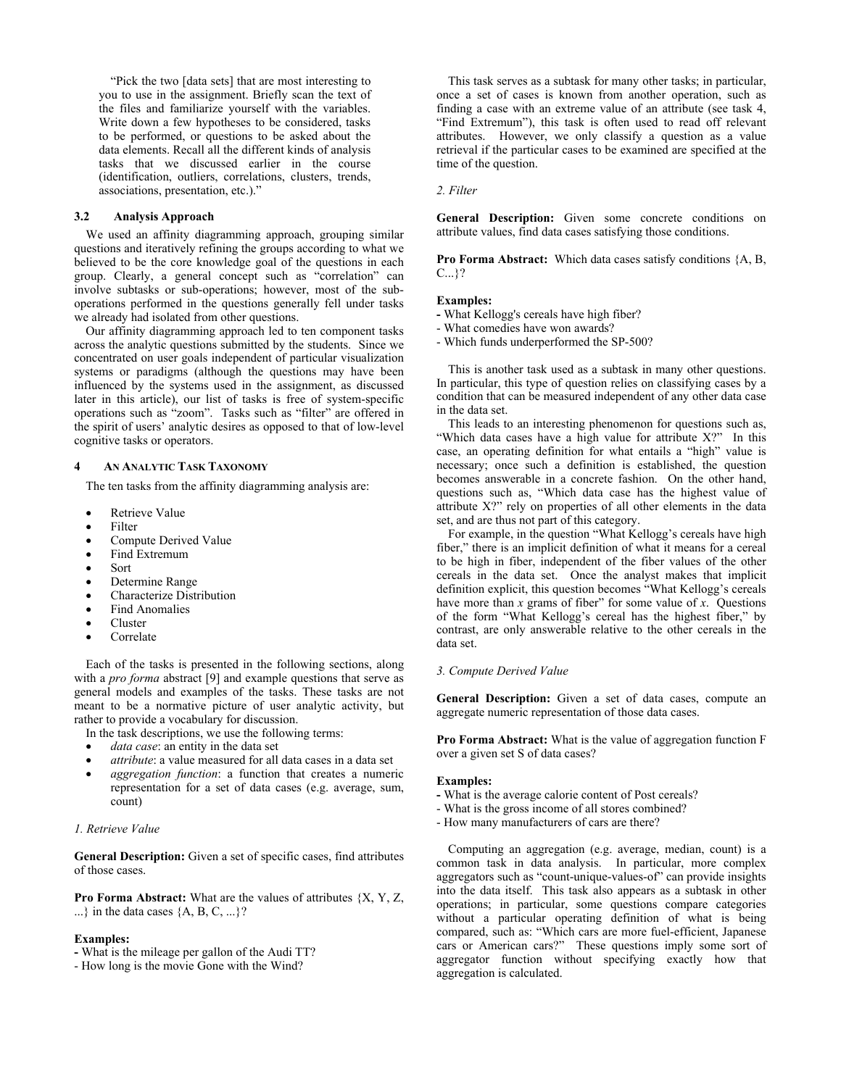"Pick the two [data sets] that are most interesting to you to use in the assignment. Briefly scan the text of the files and familiarize yourself with the variables. Write down a few hypotheses to be considered, tasks to be performed, or questions to be asked about the data elements. Recall all the different kinds of analysis tasks that we discussed earlier in the course (identification, outliers, correlations, clusters, trends, associations, presentation, etc.)."

# **3.2 Analysis Approach**

We used an affinity diagramming approach, grouping similar questions and iteratively refining the groups according to what we believed to be the core knowledge goal of the questions in each group. Clearly, a general concept such as "correlation" can involve subtasks or sub-operations; however, most of the suboperations performed in the questions generally fell under tasks we already had isolated from other questions.

Our affinity diagramming approach led to ten component tasks across the analytic questions submitted by the students. Since we concentrated on user goals independent of particular visualization systems or paradigms (although the questions may have been influenced by the systems used in the assignment, as discussed later in this article), our list of tasks is free of system-specific operations such as "zoom". Tasks such as "filter" are offered in the spirit of users' analytic desires as opposed to that of low-level cognitive tasks or operators.

### **4 AN ANALYTIC TASK TAXONOMY**

The ten tasks from the affinity diagramming analysis are:

- Retrieve Value
- Filter
- Compute Derived Value
- Find Extremum
- Sort
- Determine Range
- Characterize Distribution
- **Find Anomalies**
- Cluster
- **Correlate**

Each of the tasks is presented in the following sections, along with a *pro forma* abstract [9] and example questions that serve as general models and examples of the tasks. These tasks are not meant to be a normative picture of user analytic activity, but rather to provide a vocabulary for discussion.

In the task descriptions, we use the following terms:

- *data case*: an entity in the data set
- *attribute*: a value measured for all data cases in a data set
- *aggregation function*: a function that creates a numeric representation for a set of data cases (e.g. average, sum, count)

### *1. Retrieve Value*

**General Description:** Given a set of specific cases, find attributes of those cases.

**Pro Forma Abstract:** What are the values of attributes {X, Y, Z, ...} in the data cases  ${A, B, C, ...}$ ?

### **Examples:**

- What is the mileage per gallon of the Audi TT?
- How long is the movie Gone with the Wind?

This task serves as a subtask for many other tasks; in particular, once a set of cases is known from another operation, such as finding a case with an extreme value of an attribute (see task 4, "Find Extremum"), this task is often used to read off relevant attributes. However, we only classify a question as a value retrieval if the particular cases to be examined are specified at the time of the question.

### *2. Filter*

**General Description:** Given some concrete conditions on attribute values, find data cases satisfying those conditions.

**Pro Forma Abstract:** Which data cases satisfy conditions {A, B, C...}?

# **Examples:**

**-** What Kellogg's cereals have high fiber?

- What comedies have won awards?
- Which funds underperformed the SP-500?

This is another task used as a subtask in many other questions. In particular, this type of question relies on classifying cases by a condition that can be measured independent of any other data case in the data set.

This leads to an interesting phenomenon for questions such as, "Which data cases have a high value for attribute X?" In this case, an operating definition for what entails a "high" value is necessary; once such a definition is established, the question becomes answerable in a concrete fashion. On the other hand, questions such as, "Which data case has the highest value of attribute X?" rely on properties of all other elements in the data set, and are thus not part of this category.

For example, in the question "What Kellogg's cereals have high fiber," there is an implicit definition of what it means for a cereal to be high in fiber, independent of the fiber values of the other cereals in the data set. Once the analyst makes that implicit definition explicit, this question becomes "What Kellogg's cereals have more than *x* grams of fiber" for some value of *x*. Questions of the form "What Kellogg's cereal has the highest fiber," by contrast, are only answerable relative to the other cereals in the data set.

### *3. Compute Derived Value*

**General Description:** Given a set of data cases, compute an aggregate numeric representation of those data cases.

**Pro Forma Abstract:** What is the value of aggregation function F over a given set S of data cases?

#### **Examples:**

- What is the average calorie content of Post cereals?
- What is the gross income of all stores combined?
- How many manufacturers of cars are there?

Computing an aggregation (e.g. average, median, count) is a common task in data analysis. In particular, more complex aggregators such as "count-unique-values-of" can provide insights into the data itself. This task also appears as a subtask in other operations; in particular, some questions compare categories without a particular operating definition of what is being compared, such as: "Which cars are more fuel-efficient, Japanese cars or American cars?" These questions imply some sort of aggregator function without specifying exactly how that aggregation is calculated.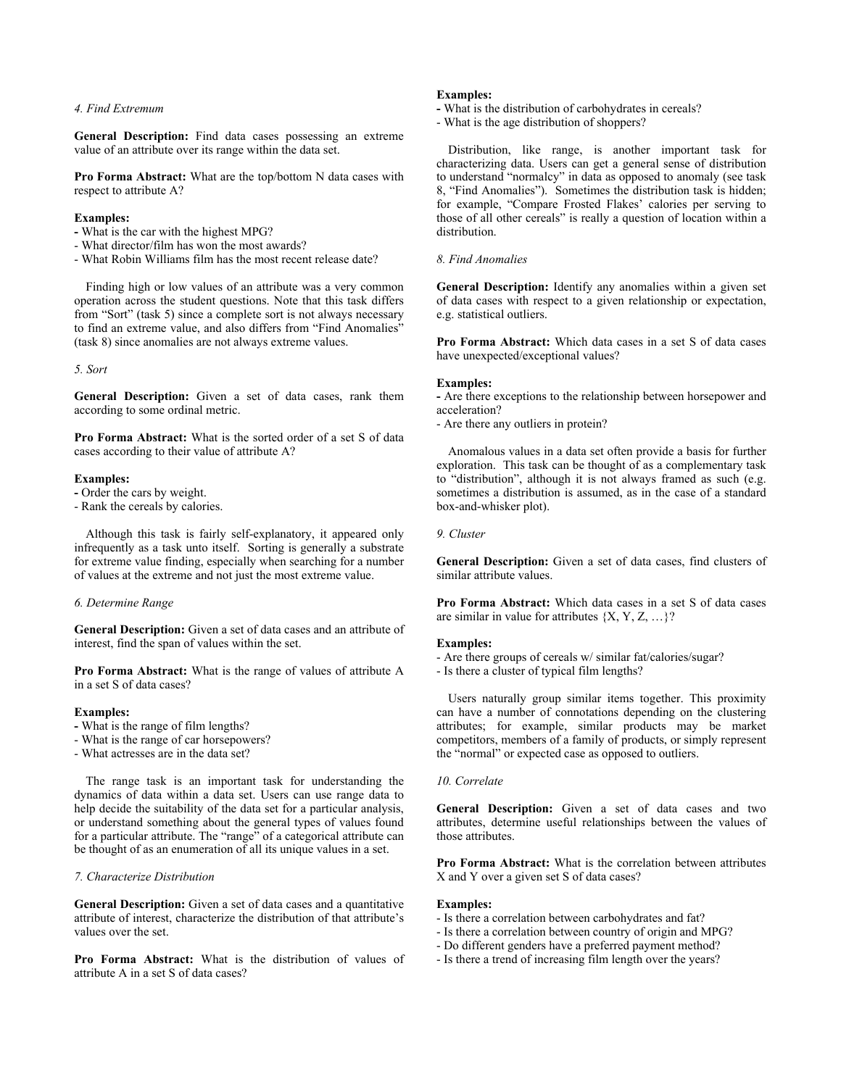### *4. Find Extremum*

**General Description:** Find data cases possessing an extreme value of an attribute over its range within the data set.

**Pro Forma Abstract:** What are the top/bottom N data cases with respect to attribute A?

# **Examples:**

- What is the car with the highest MPG?
- What director/film has won the most awards?
- What Robin Williams film has the most recent release date?

Finding high or low values of an attribute was a very common operation across the student questions. Note that this task differs from "Sort" (task 5) since a complete sort is not always necessary to find an extreme value, and also differs from "Find Anomalies" (task 8) since anomalies are not always extreme values.

*5. Sort* 

**General Description:** Given a set of data cases, rank them according to some ordinal metric.

**Pro Forma Abstract:** What is the sorted order of a set S of data cases according to their value of attribute A?

#### **Examples:**

**-** Order the cars by weight.

- Rank the cereals by calories.

Although this task is fairly self-explanatory, it appeared only infrequently as a task unto itself. Sorting is generally a substrate for extreme value finding, especially when searching for a number of values at the extreme and not just the most extreme value.

# *6. Determine Range*

**General Description:** Given a set of data cases and an attribute of interest, find the span of values within the set.

**Pro Forma Abstract:** What is the range of values of attribute A in a set S of data cases?

#### **Examples:**

- What is the range of film lengths?
- What is the range of car horsepowers?
- What actresses are in the data set?

The range task is an important task for understanding the dynamics of data within a data set. Users can use range data to help decide the suitability of the data set for a particular analysis, or understand something about the general types of values found for a particular attribute. The "range" of a categorical attribute can be thought of as an enumeration of all its unique values in a set.

# *7. Characterize Distribution*

**General Description:** Given a set of data cases and a quantitative attribute of interest, characterize the distribution of that attribute's values over the set.

**Pro Forma Abstract:** What is the distribution of values of attribute A in a set S of data cases?

### **Examples:**

- What is the distribution of carbohydrates in cereals?
- What is the age distribution of shoppers?

Distribution, like range, is another important task for characterizing data. Users can get a general sense of distribution to understand "normalcy" in data as opposed to anomaly (see task 8, "Find Anomalies"). Sometimes the distribution task is hidden; for example, "Compare Frosted Flakes' calories per serving to those of all other cereals" is really a question of location within a distribution.

# *8. Find Anomalies*

**General Description:** Identify any anomalies within a given set of data cases with respect to a given relationship or expectation, e.g. statistical outliers.

**Pro Forma Abstract:** Which data cases in a set S of data cases have unexpected/exceptional values?

### **Examples:**

**-** Are there exceptions to the relationship between horsepower and acceleration?

- Are there any outliers in protein?

Anomalous values in a data set often provide a basis for further exploration. This task can be thought of as a complementary task to "distribution", although it is not always framed as such (e.g. sometimes a distribution is assumed, as in the case of a standard box-and-whisker plot).

# *9. Cluster*

**General Description:** Given a set of data cases, find clusters of similar attribute values.

**Pro Forma Abstract:** Which data cases in a set S of data cases are similar in value for attributes  $\{X, Y, Z, \ldots\}$ ?

### **Examples:**

- Are there groups of cereals w/ similar fat/calories/sugar?
- Is there a cluster of typical film lengths?

Users naturally group similar items together. This proximity can have a number of connotations depending on the clustering attributes; for example, similar products may be market competitors, members of a family of products, or simply represent the "normal" or expected case as opposed to outliers.

#### *10. Correlate*

**General Description:** Given a set of data cases and two attributes, determine useful relationships between the values of those attributes.

**Pro Forma Abstract:** What is the correlation between attributes X and Y over a given set S of data cases?

### **Examples:**

- Is there a correlation between carbohydrates and fat?
- Is there a correlation between country of origin and MPG?
- Do different genders have a preferred payment method?
- Is there a trend of increasing film length over the years?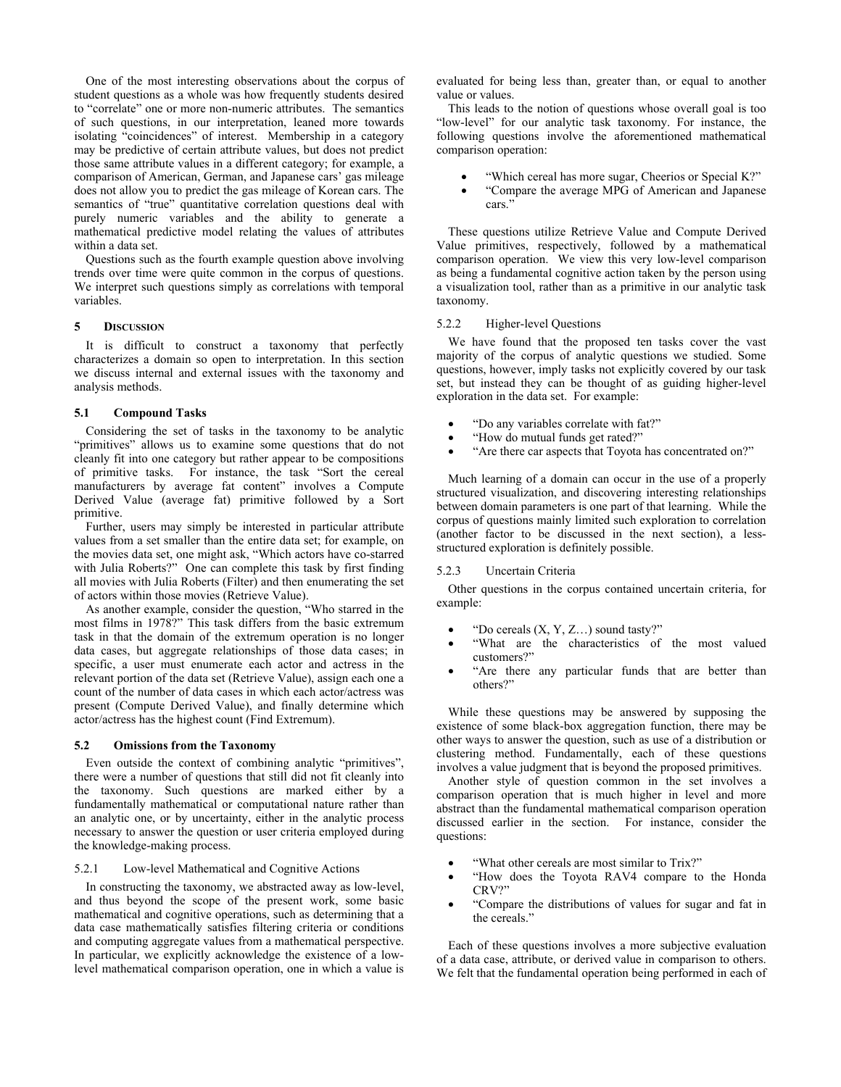One of the most interesting observations about the corpus of student questions as a whole was how frequently students desired to "correlate" one or more non-numeric attributes. The semantics of such questions, in our interpretation, leaned more towards isolating "coincidences" of interest. Membership in a category may be predictive of certain attribute values, but does not predict those same attribute values in a different category; for example, a comparison of American, German, and Japanese cars' gas mileage does not allow you to predict the gas mileage of Korean cars. The semantics of "true" quantitative correlation questions deal with purely numeric variables and the ability to generate a mathematical predictive model relating the values of attributes within a data set.

Questions such as the fourth example question above involving trends over time were quite common in the corpus of questions. We interpret such questions simply as correlations with temporal variables.

### **5 DISCUSSION**

It is difficult to construct a taxonomy that perfectly characterizes a domain so open to interpretation. In this section we discuss internal and external issues with the taxonomy and analysis methods.

### **5.1 Compound Tasks**

Considering the set of tasks in the taxonomy to be analytic "primitives" allows us to examine some questions that do not cleanly fit into one category but rather appear to be compositions of primitive tasks. For instance, the task "Sort the cereal manufacturers by average fat content" involves a Compute Derived Value (average fat) primitive followed by a Sort primitive.

Further, users may simply be interested in particular attribute values from a set smaller than the entire data set; for example, on the movies data set, one might ask, "Which actors have co-starred with Julia Roberts?" One can complete this task by first finding all movies with Julia Roberts (Filter) and then enumerating the set of actors within those movies (Retrieve Value).

As another example, consider the question, "Who starred in the most films in 1978?" This task differs from the basic extremum task in that the domain of the extremum operation is no longer data cases, but aggregate relationships of those data cases; in specific, a user must enumerate each actor and actress in the relevant portion of the data set (Retrieve Value), assign each one a count of the number of data cases in which each actor/actress was present (Compute Derived Value), and finally determine which actor/actress has the highest count (Find Extremum).

# **5.2 Omissions from the Taxonomy**

Even outside the context of combining analytic "primitives", there were a number of questions that still did not fit cleanly into the taxonomy. Such questions are marked either by a fundamentally mathematical or computational nature rather than an analytic one, or by uncertainty, either in the analytic process necessary to answer the question or user criteria employed during the knowledge-making process.

### 5.2.1 Low-level Mathematical and Cognitive Actions

In constructing the taxonomy, we abstracted away as low-level, and thus beyond the scope of the present work, some basic mathematical and cognitive operations, such as determining that a data case mathematically satisfies filtering criteria or conditions and computing aggregate values from a mathematical perspective. In particular, we explicitly acknowledge the existence of a lowlevel mathematical comparison operation, one in which a value is evaluated for being less than, greater than, or equal to another value or values.

This leads to the notion of questions whose overall goal is too "low-level" for our analytic task taxonomy. For instance, the following questions involve the aforementioned mathematical comparison operation:

- "Which cereal has more sugar, Cheerios or Special K?"
- "Compare the average MPG of American and Japanese cars."

These questions utilize Retrieve Value and Compute Derived Value primitives, respectively, followed by a mathematical comparison operation. We view this very low-level comparison as being a fundamental cognitive action taken by the person using a visualization tool, rather than as a primitive in our analytic task taxonomy.

# 5.2.2 Higher-level Questions

We have found that the proposed ten tasks cover the vast majority of the corpus of analytic questions we studied. Some questions, however, imply tasks not explicitly covered by our task set, but instead they can be thought of as guiding higher-level exploration in the data set. For example:

- "Do any variables correlate with fat?"
- "How do mutual funds get rated?"
- "Are there car aspects that Toyota has concentrated on?"

Much learning of a domain can occur in the use of a properly structured visualization, and discovering interesting relationships between domain parameters is one part of that learning. While the corpus of questions mainly limited such exploration to correlation (another factor to be discussed in the next section), a lessstructured exploration is definitely possible.

### 5.2.3 Uncertain Criteria

Other questions in the corpus contained uncertain criteria, for example:

- "Do cereals  $(X, Y, Z...)$  sound tasty?"
- "What are the characteristics of the most valued customers?"
- "Are there any particular funds that are better than others?"

While these questions may be answered by supposing the existence of some black-box aggregation function, there may be other ways to answer the question, such as use of a distribution or clustering method. Fundamentally, each of these questions involves a value judgment that is beyond the proposed primitives.

Another style of question common in the set involves a comparison operation that is much higher in level and more abstract than the fundamental mathematical comparison operation discussed earlier in the section. For instance, consider the questions:

- "What other cereals are most similar to Trix?"
- "How does the Toyota RAV4 compare to the Honda CRV?
- "Compare the distributions of values for sugar and fat in the cereals."

Each of these questions involves a more subjective evaluation of a data case, attribute, or derived value in comparison to others. We felt that the fundamental operation being performed in each of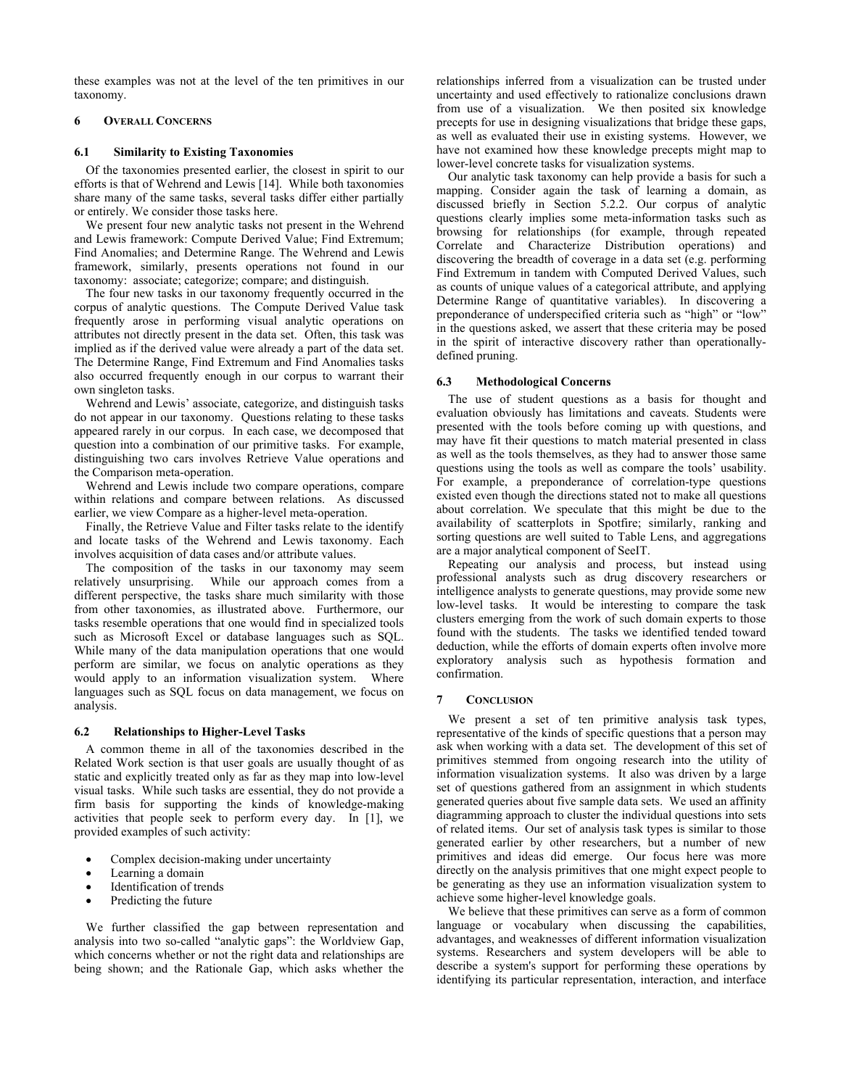these examples was not at the level of the ten primitives in our taxonomy.

# **6 OVERALL CONCERNS**

### **6.1 Similarity to Existing Taxonomies**

Of the taxonomies presented earlier, the closest in spirit to our efforts is that of Wehrend and Lewis [14]. While both taxonomies share many of the same tasks, several tasks differ either partially or entirely. We consider those tasks here.

We present four new analytic tasks not present in the Wehrend and Lewis framework: Compute Derived Value; Find Extremum; Find Anomalies; and Determine Range. The Wehrend and Lewis framework, similarly, presents operations not found in our taxonomy: associate; categorize; compare; and distinguish.

The four new tasks in our taxonomy frequently occurred in the corpus of analytic questions. The Compute Derived Value task frequently arose in performing visual analytic operations on attributes not directly present in the data set. Often, this task was implied as if the derived value were already a part of the data set. The Determine Range, Find Extremum and Find Anomalies tasks also occurred frequently enough in our corpus to warrant their own singleton tasks.

Wehrend and Lewis' associate, categorize, and distinguish tasks do not appear in our taxonomy. Questions relating to these tasks appeared rarely in our corpus. In each case, we decomposed that question into a combination of our primitive tasks. For example, distinguishing two cars involves Retrieve Value operations and the Comparison meta-operation.

Wehrend and Lewis include two compare operations, compare within relations and compare between relations. As discussed earlier, we view Compare as a higher-level meta-operation.

Finally, the Retrieve Value and Filter tasks relate to the identify and locate tasks of the Wehrend and Lewis taxonomy. Each involves acquisition of data cases and/or attribute values.

The composition of the tasks in our taxonomy may seem relatively unsurprising. While our approach comes from a different perspective, the tasks share much similarity with those from other taxonomies, as illustrated above. Furthermore, our tasks resemble operations that one would find in specialized tools such as Microsoft Excel or database languages such as SQL. While many of the data manipulation operations that one would perform are similar, we focus on analytic operations as they would apply to an information visualization system. Where languages such as SQL focus on data management, we focus on analysis.

# **6.2 Relationships to Higher-Level Tasks**

A common theme in all of the taxonomies described in the Related Work section is that user goals are usually thought of as static and explicitly treated only as far as they map into low-level visual tasks. While such tasks are essential, they do not provide a firm basis for supporting the kinds of knowledge-making activities that people seek to perform every day. In [1], we provided examples of such activity:

- Complex decision-making under uncertainty
- Learning a domain
- Identification of trends
- Predicting the future

We further classified the gap between representation and analysis into two so-called "analytic gaps": the Worldview Gap, which concerns whether or not the right data and relationships are being shown; and the Rationale Gap, which asks whether the relationships inferred from a visualization can be trusted under uncertainty and used effectively to rationalize conclusions drawn from use of a visualization. We then posited six knowledge precepts for use in designing visualizations that bridge these gaps, as well as evaluated their use in existing systems. However, we have not examined how these knowledge precepts might map to lower-level concrete tasks for visualization systems.

Our analytic task taxonomy can help provide a basis for such a mapping. Consider again the task of learning a domain, as discussed briefly in Section 5.2.2. Our corpus of analytic questions clearly implies some meta-information tasks such as browsing for relationships (for example, through repeated Correlate and Characterize Distribution operations) and discovering the breadth of coverage in a data set (e.g. performing Find Extremum in tandem with Computed Derived Values, such as counts of unique values of a categorical attribute, and applying Determine Range of quantitative variables). In discovering a preponderance of underspecified criteria such as "high" or "low" in the questions asked, we assert that these criteria may be posed in the spirit of interactive discovery rather than operationallydefined pruning.

### **6.3 Methodological Concerns**

The use of student questions as a basis for thought and evaluation obviously has limitations and caveats. Students were presented with the tools before coming up with questions, and may have fit their questions to match material presented in class as well as the tools themselves, as they had to answer those same questions using the tools as well as compare the tools' usability. For example, a preponderance of correlation-type questions existed even though the directions stated not to make all questions about correlation. We speculate that this might be due to the availability of scatterplots in Spotfire; similarly, ranking and sorting questions are well suited to Table Lens, and aggregations are a major analytical component of SeeIT.

Repeating our analysis and process, but instead using professional analysts such as drug discovery researchers or intelligence analysts to generate questions, may provide some new low-level tasks. It would be interesting to compare the task clusters emerging from the work of such domain experts to those found with the students. The tasks we identified tended toward deduction, while the efforts of domain experts often involve more exploratory analysis such as hypothesis formation and confirmation.

### **7 CONCLUSION**

We present a set of ten primitive analysis task types, representative of the kinds of specific questions that a person may ask when working with a data set. The development of this set of primitives stemmed from ongoing research into the utility of information visualization systems. It also was driven by a large set of questions gathered from an assignment in which students generated queries about five sample data sets. We used an affinity diagramming approach to cluster the individual questions into sets of related items. Our set of analysis task types is similar to those generated earlier by other researchers, but a number of new primitives and ideas did emerge. Our focus here was more directly on the analysis primitives that one might expect people to be generating as they use an information visualization system to achieve some higher-level knowledge goals.

We believe that these primitives can serve as a form of common language or vocabulary when discussing the capabilities, advantages, and weaknesses of different information visualization systems. Researchers and system developers will be able to describe a system's support for performing these operations by identifying its particular representation, interaction, and interface